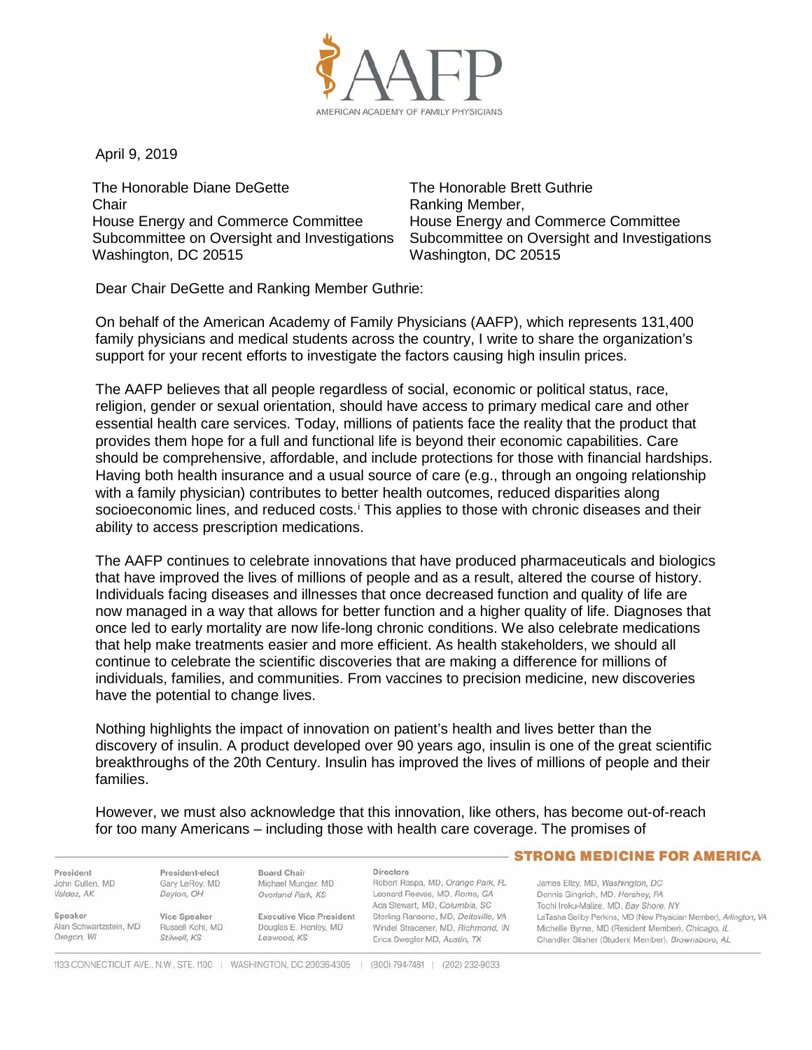

April 9, 2019

The Honorable Diane DeGette **Chair** House Energy and Commerce Committee Subcommittee on Oversight and Investigations Washington, DC 20515

The Honorable Brett Guthrie Ranking Member, House Energy and Commerce Committee Subcommittee on Oversight and Investigations Washington, DC 20515

Dear Chair DeGette and Ranking Member Guthrie:

On behalf of the American Academy of Family Physicians (AAFP), which represents 131,400 family physicians and medical students across the country, I write to share the organization's support for your recent efforts to investigate the factors causing high insulin prices.

The AAFP believes that all people regardless of social, economic or political status, race, religion, gender or sexual orientation, should have access to primary medical care and other essential health care services. Today, millions of patients face the reality that the product that provides them hope for a full and functional life is beyond their economic capabilities. Care should be comprehensive, affordable, and include protections for those with financial hardships. Having both health insurance and a usual source of care (e.g., through an ongoing relationship with a family physician) contributes to better health outcomes, reduced disparities along soc[i](#page-2-0)oeconomic lines, and reduced costs.<sup>i</sup> This applies to those with chronic diseases and their ability to access prescription medications.

The AAFP continues to celebrate innovations that have produced pharmaceuticals and biologics that have improved the lives of millions of people and as a result, altered the course of history. Individuals facing diseases and illnesses that once decreased function and quality of life are now managed in a way that allows for better function and a higher quality of life. Diagnoses that once led to early mortality are now life-long chronic conditions. We also celebrate medications that help make treatments easier and more efficient. As health stakeholders, we should all continue to celebrate the scientific discoveries that are making a difference for millions of individuals, families, and communities. From vaccines to precision medicine, new discoveries have the potential to change lives.

Nothing highlights the impact of innovation on patient's health and lives better than the discovery of insulin. A product developed over 90 years ago, insulin is one of the great scientific breakthroughs of the 20th Century. Insulin has improved the lives of millions of people and their families.

However, we must also acknowledge that this innovation, like others, has become out-of-reach for too many Americans – including those with health care coverage. The promises of

President John Cullen, MD Valdez, AK

Speaker

Oregon, WI

Gary LeRoy, MD Dayton, OH Vice Speaker Alan Schwartzstein, MD

President-elect

Stilwell, KS

Michael Munger, MD Overland Park, KS Russell Kohl, MD

**Executive Vice President** Douglas E. Henley, MD Leawood, KS

**Board Chair** 

Directors Robert Raspa, MD, Orange Park, FL Leonard Reeves, MD, Rome, GA Ada Stewart, MD, Columbia, SC Sterling Ransone, MD, Deltaville, VA Windel Stracener, MD, Richmond, IN Erica Swegler MD, Austin, TX

## - STRONG MEDICINE FOR AMERICA

James Ellzy, MD, Washington, DC Dennis Gingrich, MD, Hershey, PA Tochi Iroku-Malize, MD, Bay Shore, NY LaTasha Seliby Perkins, MD (New Physician Member), Arlington, VA Michelle Byrne, MD (Resident Member), Chicago, IL Chandler Stisher (Student Member), Brownsboro, AL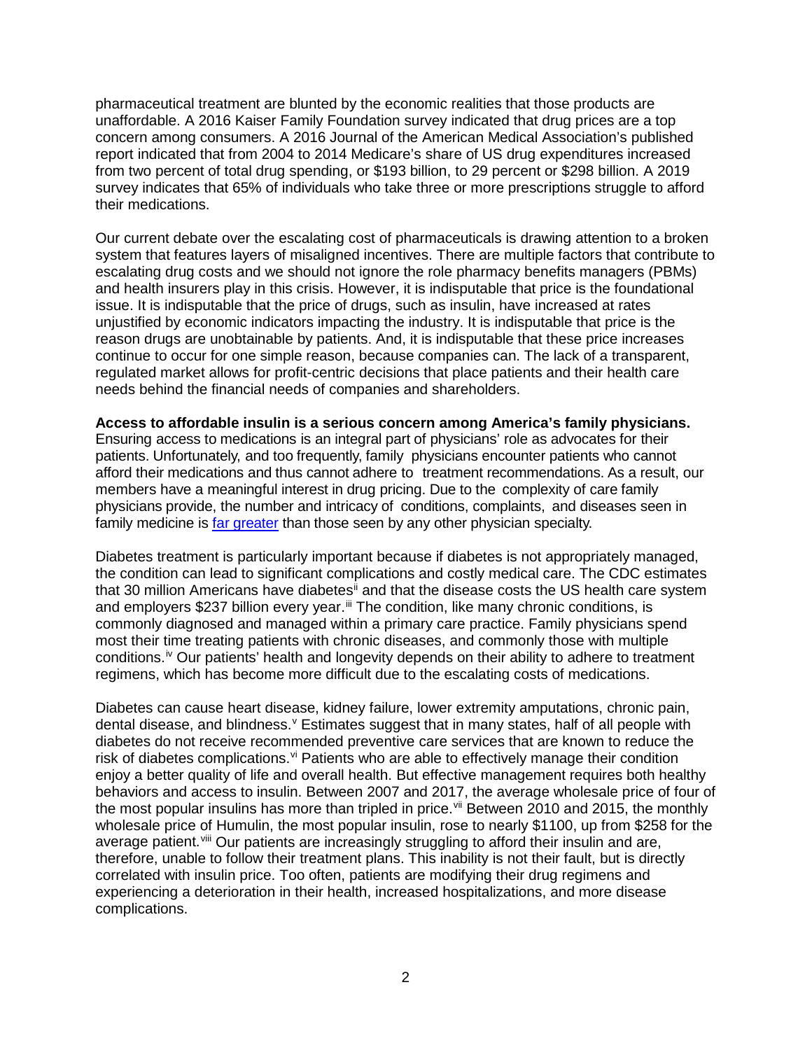pharmaceutical treatment are blunted by the economic realities that those products are unaffordable. A 2016 Kaiser Family Foundation survey indicated that drug prices are a top concern among consumers. A 2016 Journal of the American Medical Association's published report indicated that from 2004 to 2014 Medicare's share of US drug expenditures increased from two percent of total drug spending, or \$193 billion, to 29 percent or \$298 billion. A 2019 survey indicates that 65% of individuals who take three or more prescriptions struggle to afford their medications.

Our current debate over the escalating cost of pharmaceuticals is drawing attention to a broken system that features layers of misaligned incentives. There are multiple factors that contribute to escalating drug costs and we should not ignore the role pharmacy benefits managers (PBMs) and health insurers play in this crisis. However, it is indisputable that price is the foundational issue. It is indisputable that the price of drugs, such as insulin, have increased at rates unjustified by economic indicators impacting the industry. It is indisputable that price is the reason drugs are unobtainable by patients. And, it is indisputable that these price increases continue to occur for one simple reason, because companies can. The lack of a transparent, regulated market allows for profit-centric decisions that place patients and their health care needs behind the financial needs of companies and shareholders.

**Access to affordable insulin is a serious concern among America's family physicians.**

Ensuring access to medications is an integral part of physicians' role as advocates for their patients. Unfortunately, and too frequently, family physicians encounter patients who cannot afford their medications and thus cannot adhere to treatment recommendations. As a result, our members have a meaningful interest in drug pricing. Due to the complexity of care family physicians provide, the number and intricacy of conditions, complaints, and diseases seen in family medicine is far [greater](https://www.hindawi.com/journals/scientifica/2012/432892/) than those seen by any other physician specialty.

Diabetes treatment is particularly important because if diabetes is not appropriately managed, the condition can lead to significant complications and costly medical care. The CDC estimates that 30 million Americans have diabetes<sup>[ii](#page-2-1)</sup> and that the disease costs the US health care system and employers \$237 billion every year.<sup>[iii](#page-2-2)</sup> The condition, like many chronic conditions, is commonly diagnosed and managed within a primary care practice. Family physicians spend most their time treating patients with chronic diseases, and commonly those with multiple conditions.<sup>[iv](#page-2-3)</sup> Our patients' health and longevity depends on their ability to adhere to treatment regimens, which has become more difficult due to the escalating costs of medications.

Diabetes can cause heart disease, kidney failure, lower extremity amputations, chronic pain, dental disease, and blindness. <sup>[v](#page-2-4)</sup> Estimates suggest that in many states, half of all people with diabetes do not receive recommended preventive care services that are known to reduce the risk of diabetes complications. $\vec{v}$  Patients who are able to effectively manage their condition enjoy a better quality of life and overall health. But effective management requires both healthy behaviors and access to insulin. Between 2007 and 2017, the average wholesale price of four of the most popular insulins has more than tripled in price. Vii Between 2010 and 2015, the monthly wholesale price of Humulin, the most popular insulin, rose to nearly \$1100, up from \$258 for the average patient.<sup>[viii](#page-2-7)</sup> Our patients are increasingly struggling to afford their insulin and are, therefore, unable to follow their treatment plans. This inability is not their fault, but is directly correlated with insulin price. Too often, patients are modifying their drug regimens and experiencing a deterioration in their health, increased hospitalizations, and more disease complications.